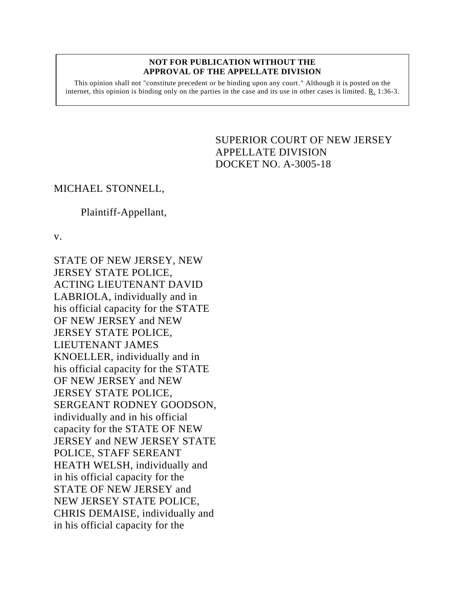#### **NOT FOR PUBLICATION WITHOUT THE APPROVAL OF THE APPELLATE DIVISION**

This opinion shall not "constitute precedent or be binding upon any court." Although it is posted on the internet, this opinion is binding only on the parties in the case and its use in other cases is limited. R. 1:36-3.

# <span id="page-0-0"></span>SUPERIOR COURT OF NEW JERSEY APPELLATE DIVISION DOCKET NO. A-3005-18

## MICHAEL STONNELL,

## Plaintiff-Appellant,

v.

STATE OF NEW JERSEY, NEW JERSEY STATE POLICE, ACTING LIEUTENANT DAVID LABRIOLA, individually and in his official capacity for the STATE OF NEW JERSEY and NEW JERSEY STATE POLICE, LIEUTENANT JAMES KNOELLER, individually and in his official capacity for the STATE OF NEW JERSEY and NEW JERSEY STATE POLICE, SERGEANT RODNEY GOODSON, individually and in his official capacity for the STATE OF NEW JERSEY and NEW JERSEY STATE POLICE, STAFF SEREANT HEATH WELSH, individually and in his official capacity for the STATE OF NEW JERSEY and NEW JERSEY STATE POLICE, CHRIS DEMAISE, individually and in his official capacity for the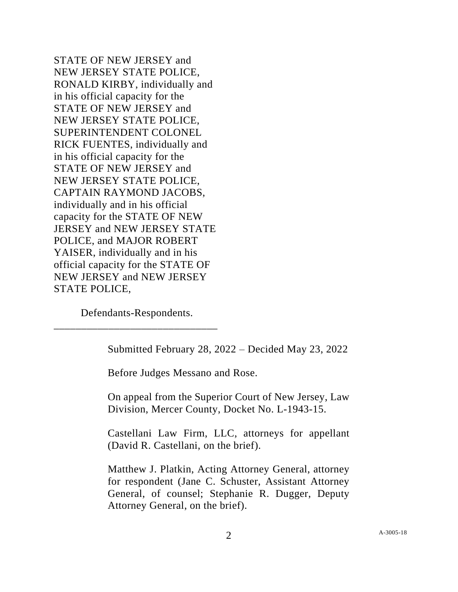STATE OF NEW JERSEY and NEW JERSEY STATE POLICE, RONALD KIRBY, individually and in his official capacity for the STATE OF NEW JERSEY and NEW JERSEY STATE POLICE, SUPERINTENDENT COLONEL RICK FUENTES, individually and in his official capacity for the STATE OF NEW JERSEY and NEW JERSEY STATE POLICE, CAPTAIN RAYMOND JACOBS, individually and in his official capacity for the STATE OF NEW JERSEY and NEW JERSEY STATE POLICE, and MAJOR ROBERT YAISER, individually and in his official capacity for the STATE OF NEW JERSEY and NEW JERSEY STATE POLICE,

Defendants-Respondents. \_\_\_\_\_\_\_\_\_\_\_\_\_\_\_\_\_\_\_\_\_\_\_\_\_\_\_\_\_\_

Submitted February 28, 2022 – Decided May 23, 2022

Before Judges Messano and Rose.

On appeal from the Superior Court of New Jersey, Law Division, Mercer County, Docket No. L-1943-15.

Castellani Law Firm, LLC, attorneys for appellant (David R. Castellani, on the brief).

Matthew J. Platkin, Acting Attorney General, attorney for respondent (Jane C. Schuster, Assistant Attorney General, of counsel; Stephanie R. Dugger, Deputy Attorney General, on the brief).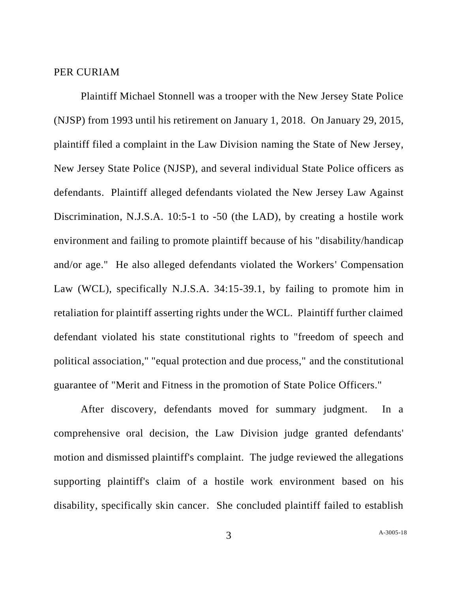#### PER CURIAM

Plaintiff Michael Stonnell was a trooper with the New Jersey State Police (NJSP) from 1993 until his retirement on January 1, 2018. On January 29, 2015, plaintiff filed a complaint in the Law Division naming the State of New Jersey, New Jersey State Police (NJSP), and several individual State Police officers as defendants. Plaintiff alleged defendants violated the New Jersey Law Against Discrimination, N.J.S.A. 10:5-1 to -50 (the LAD), by creating a hostile work environment and failing to promote plaintiff because of his "disability/handicap and/or age." He also alleged defendants violated the Workers' Compensation Law (WCL), specifically N.J.S.A. 34:15-39.1, by failing to promote him in retaliation for plaintiff asserting rights under the WCL. Plaintiff further claimed defendant violated his state constitutional rights to "freedom of speech and political association," "equal protection and due process," and the constitutional guarantee of "Merit and Fitness in the promotion of State Police Officers."

After discovery, defendants moved for summary judgment. In a comprehensive oral decision, the Law Division judge granted defendants' motion and dismissed plaintiff's complaint. The judge reviewed the allegations supporting plaintiff's claim of a hostile work environment based on his disability, specifically skin cancer. She concluded plaintiff failed to establish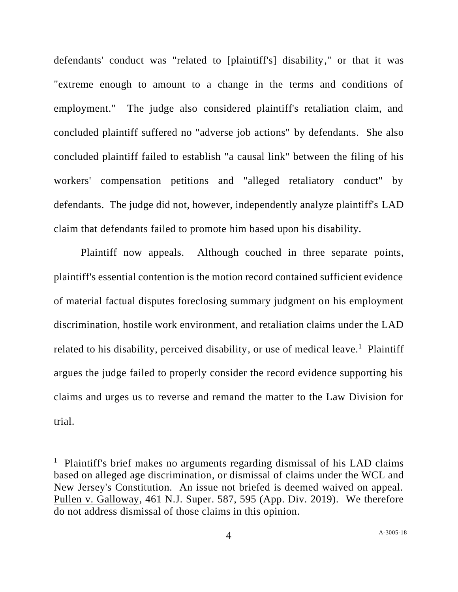defendants' conduct was "related to [plaintiff's] disability," or that it was "extreme enough to amount to a change in the terms and conditions of employment." The judge also considered plaintiff's retaliation claim, and concluded plaintiff suffered no "adverse job actions" by defendants. She also concluded plaintiff failed to establish "a causal link" between the filing of his workers' compensation petitions and "alleged retaliatory conduct" by defendants. The judge did not, however, independently analyze plaintiff's LAD claim that defendants failed to promote him based upon his disability.

Plaintiff now appeals. Although couched in three separate points, plaintiff's essential contention is the motion record contained sufficient evidence of material factual disputes foreclosing summary judgment on his employment discrimination, hostile work environment, and retaliation claims under the LAD related to his disability, perceived disability, or use of medical leave.<sup>1</sup> Plaintiff argues the judge failed to properly consider the record evidence supporting his claims and urges us to reverse and remand the matter to the Law Division for trial.

<sup>&</sup>lt;sup>1</sup> Plaintiff's brief makes no arguments regarding dismissal of his LAD claims based on alleged age discrimination, or dismissal of claims under the WCL and New Jersey's Constitution. An issue not briefed is deemed waived on appeal. Pullen v. Galloway, 461 N.J. Super. 587, 595 (App. Div. 2019). We therefore do not address dismissal of those claims in this opinion.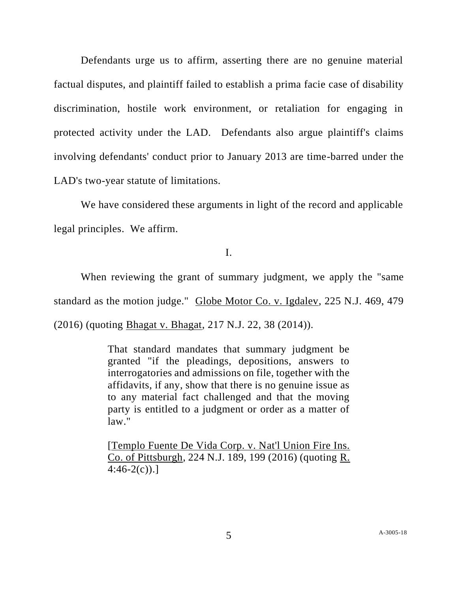Defendants urge us to affirm, asserting there are no genuine material factual disputes, and plaintiff failed to establish a prima facie case of disability discrimination, hostile work environment, or retaliation for engaging in protected activity under the LAD. Defendants also argue plaintiff's claims involving defendants' conduct prior to January 2013 are time-barred under the LAD's two-year statute of limitations.

 We have considered these arguments in light of the record and applicable legal principles. We affirm.

I.

When reviewing the grant of summary judgment, we apply the "same standard as the motion judge." Globe Motor Co. v. Igdalev, 225 N.J. 469, 479 (2016) (quoting Bhagat v. Bhagat, 217 N.J. 22, 38 (2014)).

> That standard mandates that summary judgment be granted "if the pleadings, depositions, answers to interrogatories and admissions on file, together with the affidavits, if any, show that there is no genuine issue as to any material fact challenged and that the moving party is entitled to a judgment or order as a matter of law."

> [Templo Fuente De Vida Corp. v. Nat'l Union Fire Ins. Co. of Pittsburgh, 224 N.J. 189, 199 (2016) (quoting R.  $4:46-2(c)$ .]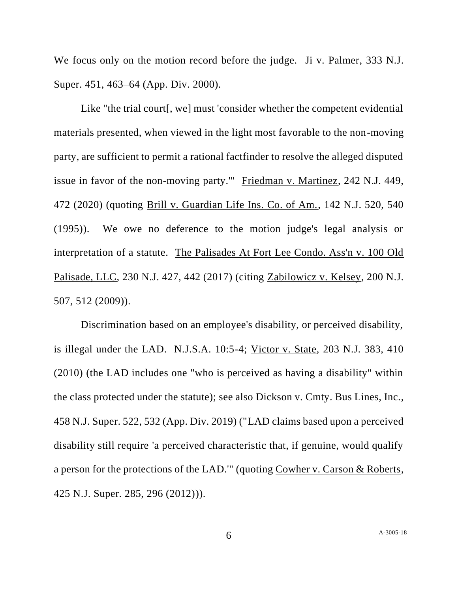We focus only on the motion record before the judge. Ji v. Palmer, 333 N.J. Super. 451, 463–64 (App. Div. 2000).

Like "the trial court<sub>[, we]</sub> must 'consider whether the competent evidential materials presented, when viewed in the light most favorable to the non-moving party, are sufficient to permit a rational factfinder to resolve the alleged disputed issue in favor of the non-moving party.'" Friedman v. Martinez, 242 N.J. 449, 472 (2020) (quoting Brill v. Guardian Life Ins. Co. of Am., 142 N.J. 520, 540 (1995)). We owe no deference to the motion judge's legal analysis or interpretation of a statute. The Palisades At Fort Lee Condo. Ass'n v. 100 Old Palisade, LLC, 230 N.J. 427, 442 (2017) (citing Zabilowicz v. Kelsey, 200 N.J. 507, 512 (2009)).

Discrimination based on an employee's disability, or perceived disability, is illegal under the LAD. N.J.S.A. 10:5-4; Victor v. State, 203 N.J. 383, 410 (2010) (the LAD includes one "who is perceived as having a disability" within the class protected under the statute); see also Dickson v. Cmty. Bus Lines, Inc., 458 N.J. Super. 522, 532 (App. Div. 2019) ("LAD claims based upon a perceived disability still require 'a perceived characteristic that, if genuine, would qualify a person for the protections of the LAD.'" (quoting Cowher v. Carson & Roberts, 425 N.J. Super. 285, 296 (2012))).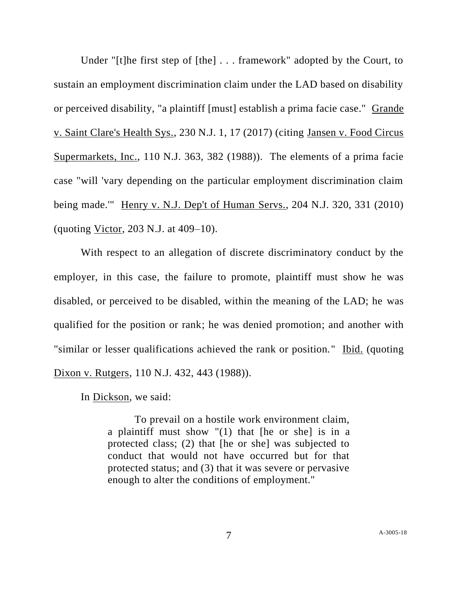Under "[t]he first step of [the] . . . framework" adopted by the Court, to sustain an employment discrimination claim under the LAD based on disability or perceived disability, "a plaintiff [must] establish a prima facie case." Grande v. Saint Clare's Health Sys., 230 N.J. 1, 17 (2017) (citing Jansen v. Food Circus Supermarkets, Inc., 110 N.J. 363, 382 (1988)). The elements of a prima facie case "will 'vary depending on the particular employment discrimination claim being made.'" Henry v. N.J. Dep't of Human Servs., 204 N.J. 320, 331 (2010) (quoting Victor, 203 N.J. at 409–10).

With respect to an allegation of discrete discriminatory conduct by the employer, in this case, the failure to promote, plaintiff must show he was disabled, or perceived to be disabled, within the meaning of the LAD; he was qualified for the position or rank; he was denied promotion; and another with "similar or lesser qualifications achieved the rank or position." Ibid. (quoting Dixon v. Rutgers, 110 N.J. 432, 443 (1988)).

In Dickson, we said:

To prevail on a hostile work environment claim, a plaintiff must show  $\sqrt{1}$  that [he or she] is in a protected class; (2) that [he or she] was subjected to conduct that would not have occurred but for that protected status; and (3) that it was severe or pervasive enough to alter the conditions of employment."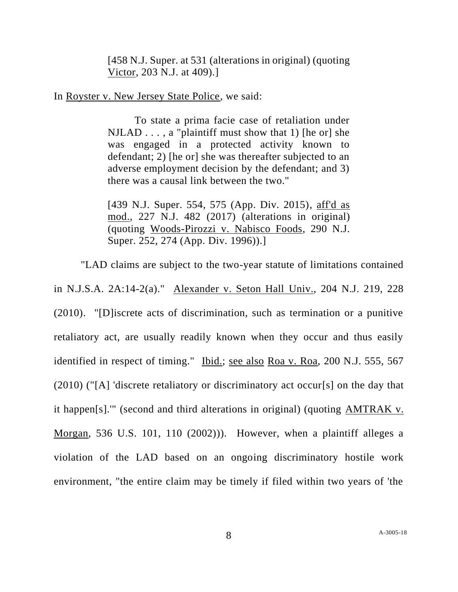[458 N.J. Super. at 531 (alterations in original) (quoting Victor, 203 N.J. at 409).]

In Royster v. New Jersey State Police, we said:

To state a prima facie case of retaliation under  $NILAD$ ..., a "plaintiff must show that 1) [he or] she was engaged in a protected activity known to defendant; 2) [he or] she was thereafter subjected to an adverse employment decision by the defendant; and 3) there was a causal link between the two."

[439 N.J. Super. 554, 575 (App. Div. 2015), aff'd as mod., 227 N.J. 482 (2017) (alterations in original) (quoting Woods-Pirozzi v. Nabisco Foods, 290 N.J. Super. 252, 274 (App. Div. 1996)).]

"LAD claims are subject to the two-year statute of limitations contained in N.J.S.A. 2A:14-2(a)." Alexander v. Seton Hall Univ., 204 N.J. 219, 228 (2010). "[D]iscrete acts of discrimination, such as termination or a punitive retaliatory act, are usually readily known when they occur and thus easily identified in respect of timing." Ibid.; see also Roa v. Roa, 200 N.J. 555, 567 (2010) ("[A] 'discrete retaliatory or discriminatory act occur[s] on the day that it happen[s].'" (second and third alterations in original) (quoting AMTRAK v. Morgan, 536 U.S. 101, 110 (2002))). However, when a plaintiff alleges a violation of the LAD based on an ongoing discriminatory hostile work environment, "the entire claim may be timely if filed within two years of 'the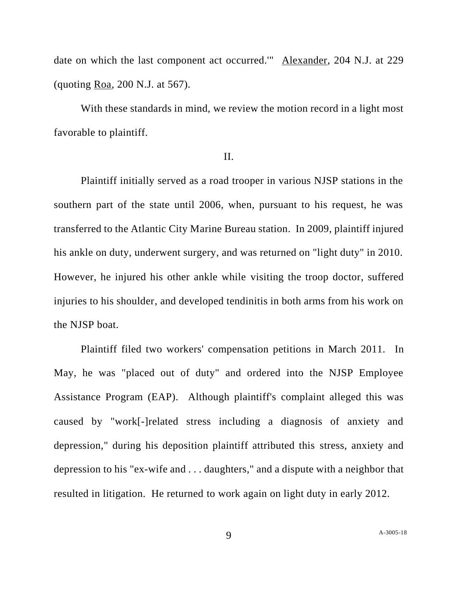date on which the last component act occurred.'" Alexander, 204 N.J. at 229 (quoting Roa, 200 N.J. at 567).

With these standards in mind, we review the motion record in a light most favorable to plaintiff.

### II.

Plaintiff initially served as a road trooper in various NJSP stations in the southern part of the state until 2006, when, pursuant to his request, he was transferred to the Atlantic City Marine Bureau station. In 2009, plaintiff injured his ankle on duty, underwent surgery, and was returned on "light duty" in 2010. However, he injured his other ankle while visiting the troop doctor, suffered injuries to his shoulder, and developed tendinitis in both arms from his work on the NJSP boat.

Plaintiff filed two workers' compensation petitions in March 2011. In May, he was "placed out of duty" and ordered into the NJSP Employee Assistance Program (EAP). Although plaintiff's complaint alleged this was caused by "work[-]related stress including a diagnosis of anxiety and depression," during his deposition plaintiff attributed this stress, anxiety and depression to his "ex-wife and . . . daughters," and a dispute with a neighbor that resulted in litigation. He returned to work again on light duty in early 2012.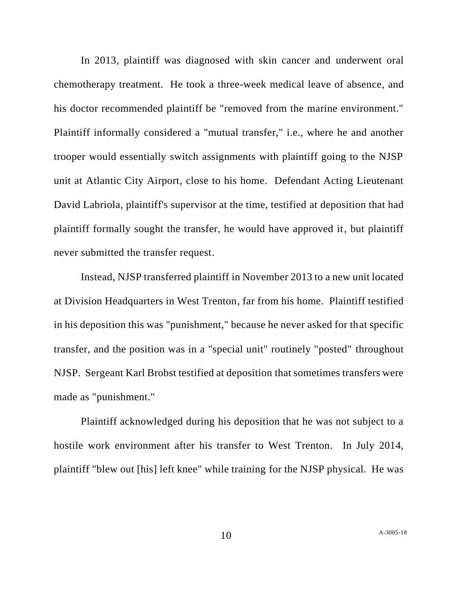In 2013, plaintiff was diagnosed with skin cancer and underwent oral chemotherapy treatment. He took a three-week medical leave of absence, and his doctor recommended plaintiff be "removed from the marine environment." Plaintiff informally considered a "mutual transfer," i.e., where he and another trooper would essentially switch assignments with plaintiff going to the NJSP unit at Atlantic City Airport, close to his home. Defendant Acting Lieutenant David Labriola, plaintiff's supervisor at the time, testified at deposition that had plaintiff formally sought the transfer, he would have approved it, but plaintiff never submitted the transfer request.

Instead, NJSP transferred plaintiff in November 2013 to a new unit located at Division Headquarters in West Trenton, far from his home. Plaintiff testified in his deposition this was "punishment," because he never asked for that specific transfer, and the position was in a "special unit" routinely "posted" throughout NJSP. Sergeant Karl Brobst testified at deposition that sometimes transfers were made as "punishment."

Plaintiff acknowledged during his deposition that he was not subject to a hostile work environment after his transfer to West Trenton. In July 2014, plaintiff "blew out [his] left knee" while training for the NJSP physical. He was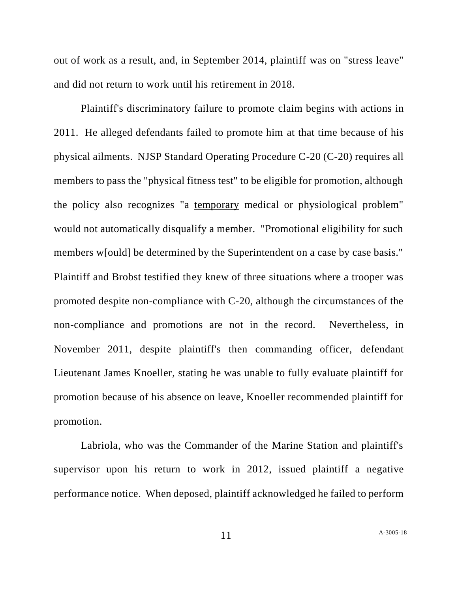out of work as a result, and, in September 2014, plaintiff was on "stress leave" and did not return to work until his retirement in 2018.

Plaintiff's discriminatory failure to promote claim begins with actions in 2011. He alleged defendants failed to promote him at that time because of his physical ailments. NJSP Standard Operating Procedure C-20 (C-20) requires all members to pass the "physical fitness test" to be eligible for promotion, although the policy also recognizes "a temporary medical or physiological problem" would not automatically disqualify a member. "Promotional eligibility for such members w[ould] be determined by the Superintendent on a case by case basis." Plaintiff and Brobst testified they knew of three situations where a trooper was promoted despite non-compliance with C-20, although the circumstances of the non-compliance and promotions are not in the record. Nevertheless, in November 2011, despite plaintiff's then commanding officer, defendant Lieutenant James Knoeller, stating he was unable to fully evaluate plaintiff for promotion because of his absence on leave, Knoeller recommended plaintiff for promotion.

Labriola, who was the Commander of the Marine Station and plaintiff's supervisor upon his return to work in 2012, issued plaintiff a negative performance notice. When deposed, plaintiff acknowledged he failed to perform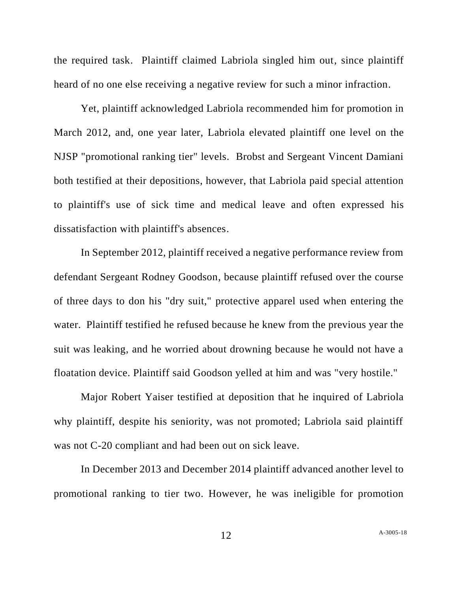the required task. Plaintiff claimed Labriola singled him out, since plaintiff heard of no one else receiving a negative review for such a minor infraction.

Yet, plaintiff acknowledged Labriola recommended him for promotion in March 2012, and, one year later, Labriola elevated plaintiff one level on the NJSP "promotional ranking tier" levels. Brobst and Sergeant Vincent Damiani both testified at their depositions, however, that Labriola paid special attention to plaintiff's use of sick time and medical leave and often expressed his dissatisfaction with plaintiff's absences.

In September 2012, plaintiff received a negative performance review from defendant Sergeant Rodney Goodson, because plaintiff refused over the course of three days to don his "dry suit," protective apparel used when entering the water. Plaintiff testified he refused because he knew from the previous year the suit was leaking, and he worried about drowning because he would not have a floatation device. Plaintiff said Goodson yelled at him and was "very hostile."

Major Robert Yaiser testified at deposition that he inquired of Labriola why plaintiff, despite his seniority, was not promoted; Labriola said plaintiff was not C-20 compliant and had been out on sick leave.

In December 2013 and December 2014 plaintiff advanced another level to promotional ranking to tier two. However, he was ineligible for promotion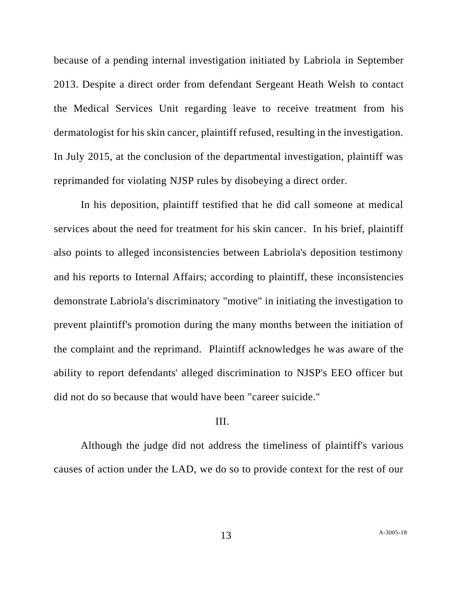because of a pending internal investigation initiated by Labriola in September 2013. Despite a direct order from defendant Sergeant Heath Welsh to contact the Medical Services Unit regarding leave to receive treatment from his dermatologist for his skin cancer, plaintiff refused, resulting in the investigation. In July 2015, at the conclusion of the departmental investigation, plaintiff was reprimanded for violating NJSP rules by disobeying a direct order.

In his deposition, plaintiff testified that he did call someone at medical services about the need for treatment for his skin cancer. In his brief, plaintiff also points to alleged inconsistencies between Labriola's deposition testimony and his reports to Internal Affairs; according to plaintiff, these inconsistencies demonstrate Labriola's discriminatory "motive" in initiating the investigation to prevent plaintiff's promotion during the many months between the initiation of the complaint and the reprimand. Plaintiff acknowledges he was aware of the ability to report defendants' alleged discrimination to NJSP's EEO officer but did not do so because that would have been "career suicide."

## III.

Although the judge did not address the timeliness of plaintiff's various causes of action under the LAD, we do so to provide context for the rest of our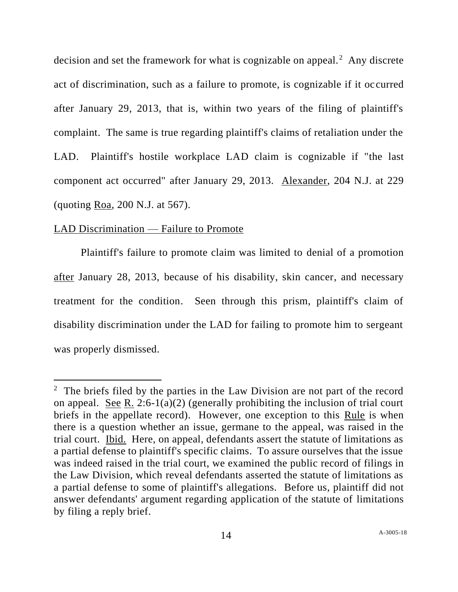decision and set the framework for what is cognizable on appeal.<sup>2</sup> Any discrete act of discrimination, such as a failure to promote, is cognizable if it occurred after January 29, 2013, that is, within two years of the filing of plaintiff's complaint. The same is true regarding plaintiff's claims of retaliation under the LAD. Plaintiff's hostile workplace LAD claim is cognizable if "the last component act occurred" after January 29, 2013. Alexander, 204 N.J. at 229 (quoting Roa, 200 N.J. at 567).

#### LAD Discrimination — Failure to Promote

Plaintiff's failure to promote claim was limited to denial of a promotion after January 28, 2013, because of his disability, skin cancer, and necessary treatment for the condition. Seen through this prism, plaintiff's claim of disability discrimination under the LAD for failing to promote him to sergeant was properly dismissed.

<sup>&</sup>lt;sup>2</sup> The briefs filed by the parties in the Law Division are not part of the record on appeal. See R. 2:6-1(a)(2) (generally prohibiting the inclusion of trial court briefs in the appellate record). However, one exception to this Rule is when there is a question whether an issue, germane to the appeal, was raised in the trial court. Ibid. Here, on appeal, defendants assert the statute of limitations as a partial defense to plaintiff's specific claims. To assure ourselves that the issue was indeed raised in the trial court, we examined the public record of filings in the Law Division, which reveal defendants asserted the statute of limitations as a partial defense to some of plaintiff's allegations. Before us, plaintiff did not answer defendants' argument regarding application of the statute of limitations by filing a reply brief.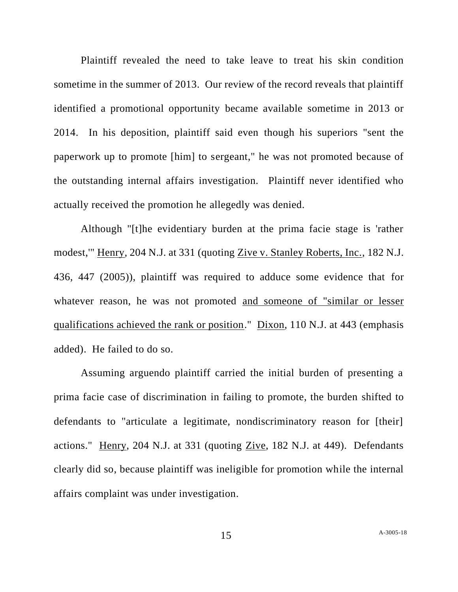Plaintiff revealed the need to take leave to treat his skin condition sometime in the summer of 2013. Our review of the record reveals that plaintiff identified a promotional opportunity became available sometime in 2013 or 2014. In his deposition, plaintiff said even though his superiors "sent the paperwork up to promote [him] to sergeant," he was not promoted because of the outstanding internal affairs investigation. Plaintiff never identified who actually received the promotion he allegedly was denied.

Although "[t]he evidentiary burden at the prima facie stage is 'rather modest,'" Henry, 204 N.J. at 331 (quoting Zive v. Stanley Roberts, Inc., 182 N.J. 436, 447 (2005)), plaintiff was required to adduce some evidence that for whatever reason, he was not promoted and someone of "similar or lesser qualifications achieved the rank or position." Dixon, 110 N.J. at 443 (emphasis added). He failed to do so.

Assuming arguendo plaintiff carried the initial burden of presenting a prima facie case of discrimination in failing to promote, the burden shifted to defendants to "articulate a legitimate, nondiscriminatory reason for [their] actions." Henry, 204 N.J. at 331 (quoting Zive, 182 N.J. at 449). Defendants clearly did so, because plaintiff was ineligible for promotion while the internal affairs complaint was under investigation.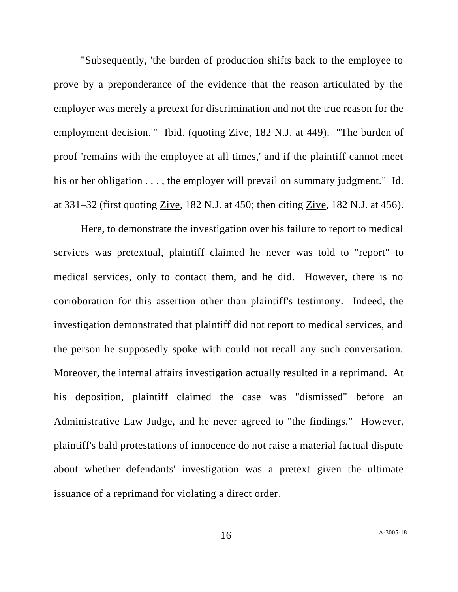"Subsequently, 'the burden of production shifts back to the employee to prove by a preponderance of the evidence that the reason articulated by the employer was merely a pretext for discrimination and not the true reason for the employment decision.'" Ibid. (quoting Zive, 182 N.J. at 449). "The burden of proof 'remains with the employee at all times,' and if the plaintiff cannot meet his or her obligation . . . , the employer will prevail on summary judgment." Id. at 331–32 (first quoting Zive, 182 N.J. at 450; then citing Zive, 182 N.J. at 456).

Here, to demonstrate the investigation over his failure to report to medical services was pretextual, plaintiff claimed he never was told to "report" to medical services, only to contact them, and he did. However, there is no corroboration for this assertion other than plaintiff's testimony. Indeed, the investigation demonstrated that plaintiff did not report to medical services, and the person he supposedly spoke with could not recall any such conversation. Moreover, the internal affairs investigation actually resulted in a reprimand. At his deposition, plaintiff claimed the case was "dismissed" before an Administrative Law Judge, and he never agreed to "the findings." However, plaintiff's bald protestations of innocence do not raise a material factual dispute about whether defendants' investigation was a pretext given the ultimate issuance of a reprimand for violating a direct order.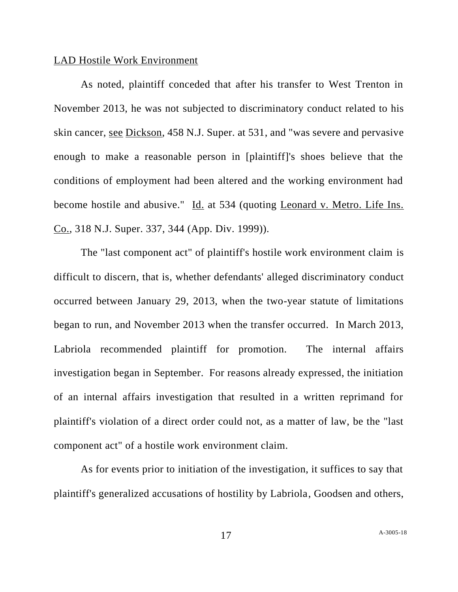#### LAD Hostile Work Environment

As noted, plaintiff conceded that after his transfer to West Trenton in November 2013, he was not subjected to discriminatory conduct related to his skin cancer, see Dickson, 458 N.J. Super. at 531, and "was severe and pervasive enough to make a reasonable person in [plaintiff]'s shoes believe that the conditions of employment had been altered and the working environment had become hostile and abusive." Id. at 534 (quoting Leonard v. Metro. Life Ins. Co., 318 N.J. Super. 337, 344 (App. Div. 1999)).

The "last component act" of plaintiff's hostile work environment claim is difficult to discern, that is, whether defendants' alleged discriminatory conduct occurred between January 29, 2013, when the two-year statute of limitations began to run, and November 2013 when the transfer occurred. In March 2013, Labriola recommended plaintiff for promotion. The internal affairs investigation began in September. For reasons already expressed, the initiation of an internal affairs investigation that resulted in a written reprimand for plaintiff's violation of a direct order could not, as a matter of law, be the "last component act" of a hostile work environment claim.

As for events prior to initiation of the investigation, it suffices to say that plaintiff's generalized accusations of hostility by Labriola, Goodsen and others,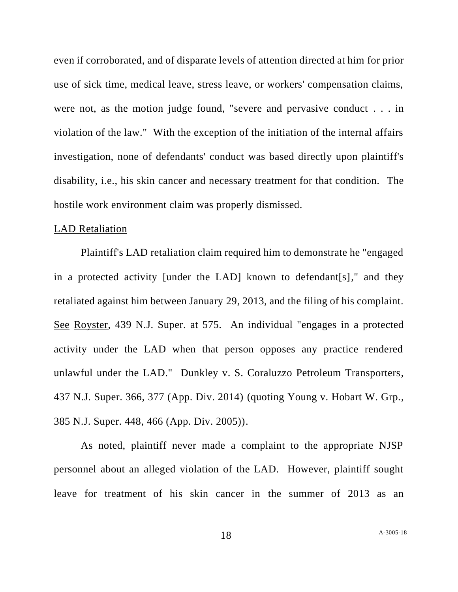even if corroborated, and of disparate levels of attention directed at him for prior use of sick time, medical leave, stress leave, or workers' compensation claims, were not, as the motion judge found, "severe and pervasive conduct . . . in violation of the law." With the exception of the initiation of the internal affairs investigation, none of defendants' conduct was based directly upon plaintiff's disability, i.e., his skin cancer and necessary treatment for that condition. The hostile work environment claim was properly dismissed.

#### LAD Retaliation

Plaintiff's LAD retaliation claim required him to demonstrate he "engaged in a protected activity [under the LAD] known to defendant[s]," and they retaliated against him between January 29, 2013, and the filing of his complaint. See Royster, 439 N.J. Super. at 575. An individual "engages in a protected activity under the LAD when that person opposes any practice rendered unlawful under the LAD." Dunkley v. S. Coraluzzo Petroleum Transporters, 437 N.J. Super. 366, 377 (App. Div. 2014) (quoting Young v. Hobart W. Grp., 385 N.J. Super. 448, 466 (App. Div. 2005)).

As noted, plaintiff never made a complaint to the appropriate NJSP personnel about an alleged violation of the LAD. However, plaintiff sought leave for treatment of his skin cancer in the summer of 2013 as an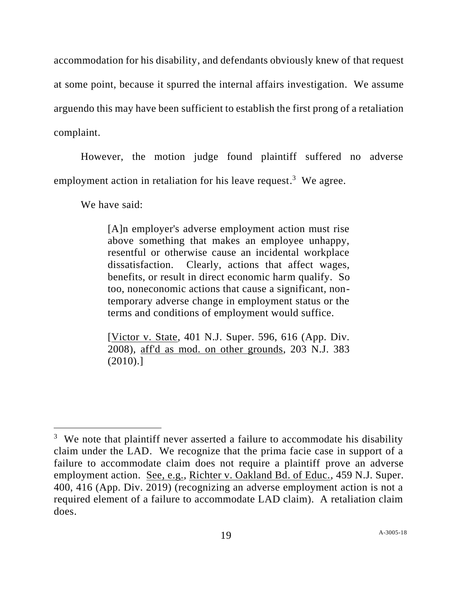accommodation for his disability, and defendants obviously knew of that request at some point, because it spurred the internal affairs investigation. We assume arguendo this may have been sufficient to establish the first prong of a retaliation complaint.

However, the motion judge found plaintiff suffered no adverse employment action in retaliation for his leave request.<sup>3</sup> We agree.

We have said:

[A]n employer's adverse employment action must rise above something that makes an employee unhappy, resentful or otherwise cause an incidental workplace dissatisfaction. Clearly, actions that affect wages, benefits, or result in direct economic harm qualify. So too, noneconomic actions that cause a significant, nontemporary adverse change in employment status or the terms and conditions of employment would suffice.

[Victor v. State, 401 N.J. Super. 596, 616 (App. Div. 2008), aff'd as mod. on other grounds, 203 N.J. 383 (2010).]

<sup>&</sup>lt;sup>3</sup> We note that plaintiff never asserted a failure to accommodate his disability claim under the LAD. We recognize that the prima facie case in support of a failure to accommodate claim does not require a plaintiff prove an adverse employment action. See, e.g., Richter v. Oakland Bd. of Educ., 459 N.J. Super. 400, 416 (App. Div. 2019) (recognizing an adverse employment action is not a required element of a failure to accommodate LAD claim). A retaliation claim does.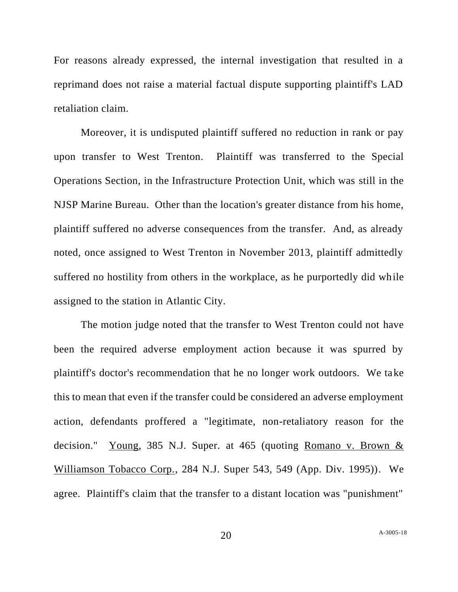For reasons already expressed, the internal investigation that resulted in a reprimand does not raise a material factual dispute supporting plaintiff's LAD retaliation claim.

Moreover, it is undisputed plaintiff suffered no reduction in rank or pay upon transfer to West Trenton. Plaintiff was transferred to the Special Operations Section, in the Infrastructure Protection Unit, which was still in the NJSP Marine Bureau. Other than the location's greater distance from his home, plaintiff suffered no adverse consequences from the transfer. And, as already noted, once assigned to West Trenton in November 2013, plaintiff admittedly suffered no hostility from others in the workplace, as he purportedly did while assigned to the station in Atlantic City.

The motion judge noted that the transfer to West Trenton could not have been the required adverse employment action because it was spurred by plaintiff's doctor's recommendation that he no longer work outdoors. We take this to mean that even if the transfer could be considered an adverse employment action, defendants proffered a "legitimate, non-retaliatory reason for the decision." Young, 385 N.J. Super. at 465 (quoting Romano v. Brown & Williamson Tobacco Corp., 284 N.J. Super 543, 549 (App. Div. 1995)). We agree. Plaintiff's claim that the transfer to a distant location was "punishment"